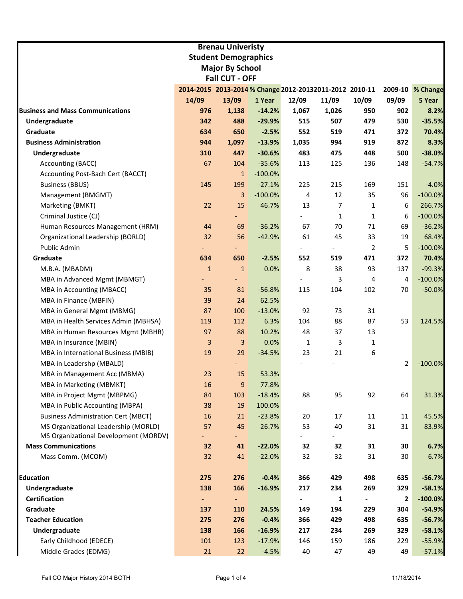|                                            |                                                         | <b>Brenau Univeristy</b>    |            |                          |       |                |              |                  |
|--------------------------------------------|---------------------------------------------------------|-----------------------------|------------|--------------------------|-------|----------------|--------------|------------------|
|                                            |                                                         | <b>Student Demographics</b> |            |                          |       |                |              |                  |
| <b>Major By School</b>                     |                                                         |                             |            |                          |       |                |              |                  |
|                                            |                                                         | <b>Fall CUT - OFF</b>       |            |                          |       |                |              |                  |
|                                            | 2014-2015 2013-2014 % Change 2012-20132011-2012 2010-11 |                             |            |                          |       |                |              | 2009-10 % Change |
|                                            | 14/09                                                   | 13/09                       | 1 Year     | 12/09                    | 11/09 | 10/09          | 09/09        | 5 Year           |
| <b>Business and Mass Communications</b>    | 976                                                     | 1,138                       | $-14.2%$   | 1,067                    | 1,026 | 950            | 902          | 8.2%             |
| Undergraduate                              | 342                                                     | 488                         | $-29.9%$   | 515                      | 507   | 479            | 530          | $-35.5%$         |
| Graduate                                   | 634                                                     | 650                         | $-2.5%$    | 552                      | 519   | 471            | 372          | 70.4%            |
| <b>Business Administration</b>             | 944                                                     | 1,097                       | $-13.9%$   | 1,035                    | 994   | 919            | 872          | 8.3%             |
| Undergraduate                              | 310                                                     | 447                         | $-30.6%$   | 483                      | 475   | 448            | 500          | $-38.0%$         |
| Accounting (BACC)                          | 67                                                      | 104                         | $-35.6%$   | 113                      | 125   | 136            | 148          | $-54.7%$         |
| Accounting Post-Bach Cert (BACCT)          |                                                         | $\mathbf{1}$                | $-100.0\%$ |                          |       |                |              |                  |
| <b>Business (BBUS)</b>                     | 145                                                     | 199                         | $-27.1%$   | 225                      | 215   | 169            | 151          | $-4.0%$          |
| Management (BMGMT)                         |                                                         | 3                           | $-100.0%$  | 4                        | 12    | 35             | 96           | $-100.0%$        |
| Marketing (BMKT)                           | 22                                                      | 15                          | 46.7%      | 13                       | 7     | $\mathbf{1}$   | 6            | 266.7%           |
| Criminal Justice (CJ)                      |                                                         |                             |            |                          | 1     | $\mathbf{1}$   | 6            | $-100.0%$        |
| Human Resources Management (HRM)           | 44                                                      | 69                          | $-36.2%$   | 67                       | 70    | 71             | 69           | $-36.2%$         |
| Organizational Leadership (BORLD)          | 32                                                      | 56                          | $-42.9%$   | 61                       | 45    | 33             | 19           | 68.4%            |
| Public Admin                               |                                                         |                             |            | $\overline{\phantom{a}}$ |       | $\overline{2}$ | 5            | $-100.0%$        |
| Graduate                                   | 634                                                     | 650                         | $-2.5%$    | 552                      | 519   | 471            | 372          | 70.4%            |
| M.B.A. (MBADM)                             | $\mathbf{1}$                                            | $\mathbf{1}$                | 0.0%       | 8                        | 38    | 93             | 137          | $-99.3%$         |
| MBA in Advanced Mgmt (MBMGT)               |                                                         |                             |            |                          | 3     | 4              | 4            | $-100.0%$        |
| MBA in Accounting (MBACC)                  | 35                                                      | 81                          | $-56.8%$   | 115                      | 104   | 102            | 70           | $-50.0%$         |
| MBA in Finance (MBFIN)                     | 39                                                      | 24                          | 62.5%      |                          |       |                |              |                  |
| MBA in General Mgmt (MBMG)                 | 87                                                      | 100                         | $-13.0%$   | 92                       | 73    | 31             |              |                  |
| MBA in Health Services Admin (MBHSA)       | 119                                                     | 112                         | 6.3%       | 104                      | 88    | 87             | 53           | 124.5%           |
| MBA in Human Resources Mgmt (MBHR)         | 97                                                      | 88                          | 10.2%      | 48                       | 37    | 13             |              |                  |
| MBA in Insurance (MBIN)                    | 3                                                       | 3                           | 0.0%       | 1                        | 3     | 1              |              |                  |
| MBA in International Business (MBIB)       | 19                                                      | 29                          | $-34.5%$   | 23                       | 21    | 6              |              |                  |
| MBA in Leadershp (MBALD)                   |                                                         |                             |            |                          |       |                | 2            | $-100.0%$        |
| MBA in Management Acc (MBMA)               | 23                                                      | 15                          | 53.3%      |                          |       |                |              |                  |
| MBA in Marketing (MBMKT)                   | 16                                                      | 9                           | 77.8%      |                          |       |                |              |                  |
| MBA in Project Mgmt (MBPMG)                | 84                                                      | 103                         | $-18.4%$   | 88                       | 95    | 92             | 64           | 31.3%            |
| MBA in Public Accounting (MBPA)            | 38                                                      | 19                          | 100.0%     |                          |       |                |              |                  |
| <b>Business Administration Cert (MBCT)</b> | 16                                                      | 21                          | $-23.8%$   | 20                       | 17    | 11             | 11           | 45.5%            |
| MS Organizational Leadership (MORLD)       | 57                                                      | 45                          | 26.7%      | 53                       | 40    | 31             | 31           | 83.9%            |
| MS Organizational Development (MORDV)      |                                                         | ۳.                          |            |                          |       |                |              |                  |
| <b>Mass Communications</b>                 | 32                                                      | 41                          | $-22.0%$   | 32                       | 32    | 31             | 30           | 6.7%             |
| Mass Comm. (MCOM)                          | 32                                                      | 41                          | $-22.0%$   | 32                       | 32    | 31             | 30           | 6.7%             |
|                                            |                                                         |                             |            |                          |       |                |              |                  |
| <b>Education</b>                           | 275                                                     | 276                         | $-0.4%$    | 366                      | 429   | 498            | 635          | $-56.7%$         |
| Undergraduate                              | 138                                                     | 166                         | $-16.9%$   | 217                      | 234   | 269            | 329          | $-58.1%$         |
| <b>Certification</b>                       | $\blacksquare$                                          | $\blacksquare$              |            |                          | 1     | $\blacksquare$ | $\mathbf{2}$ | $-100.0%$        |
| Graduate                                   | 137                                                     | 110                         | 24.5%      | 149                      | 194   | 229            | 304          | $-54.9%$         |
| <b>Teacher Education</b>                   | 275                                                     | 276                         | $-0.4%$    | 366                      | 429   | 498            | 635          | $-56.7%$         |
| Undergraduate                              | 138                                                     | 166                         | $-16.9%$   | 217                      | 234   | 269            | 329          | $-58.1%$         |
| Early Childhood (EDECE)                    | 101                                                     | 123                         | $-17.9%$   | 146                      | 159   | 186            | 229          | $-55.9%$         |
| Middle Grades (EDMG)                       | 21                                                      | 22                          | $-4.5%$    | 40                       | 47    | 49             | 49           | $-57.1%$         |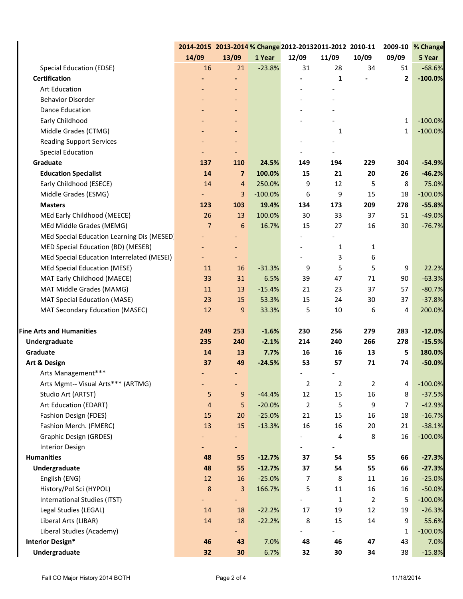|                                            | 2014-2015 2013-2014 % Change 2012-20132011-2012 2010-11 |                          |           |                |              |       |                | 2009-10 % Change |
|--------------------------------------------|---------------------------------------------------------|--------------------------|-----------|----------------|--------------|-------|----------------|------------------|
|                                            | 14/09                                                   | 13/09                    | 1 Year    | 12/09          | 11/09        | 10/09 | 09/09          | 5 Year           |
| <b>Special Education (EDSE)</b>            | 16                                                      | 21                       | $-23.8%$  | 31             | 28           | 34    | 51             | $-68.6%$         |
| <b>Certification</b>                       |                                                         |                          |           |                | 1            |       | $\mathbf{2}$   | $-100.0%$        |
| <b>Art Education</b>                       |                                                         |                          |           |                |              |       |                |                  |
| <b>Behavior Disorder</b>                   |                                                         |                          |           |                |              |       |                |                  |
| Dance Education                            |                                                         |                          |           |                |              |       |                |                  |
| Early Childhood                            |                                                         |                          |           |                |              |       | $\mathbf{1}$   | $-100.0%$        |
| Middle Grades (CTMG)                       |                                                         |                          |           |                | 1            |       | $\mathbf{1}$   | $-100.0%$        |
| <b>Reading Support Services</b>            |                                                         |                          |           |                |              |       |                |                  |
| <b>Special Education</b>                   |                                                         |                          |           |                |              |       |                |                  |
| Graduate                                   | 137                                                     | 110                      | 24.5%     | 149            | 194          | 229   | 304            | $-54.9%$         |
| <b>Education Specialist</b>                | 14                                                      | $\overline{7}$           | 100.0%    | 15             | 21           | 20    | 26             | $-46.2%$         |
| Early Childhood (ESECE)                    | 14                                                      | $\overline{4}$           | 250.0%    | 9              | 12           | 5     | 8              | 75.0%            |
| Middle Grades (ESMG)                       |                                                         | 3                        | $-100.0%$ | 6              | 9            | 15    | 18             | $-100.0%$        |
| <b>Masters</b>                             | 123                                                     | 103                      | 19.4%     | 134            | 173          | 209   | 278            | $-55.8%$         |
| MEd Early Childhood (MEECE)                | 26                                                      | 13                       | 100.0%    | 30             | 33           | 37    | 51             | $-49.0%$         |
| MEd Middle Grades (MEMG)                   | $\overline{7}$                                          | 6                        | 16.7%     | 15             | 27           | 16    | 30             | $-76.7%$         |
| MEd Special Education Learning Dis (MESED) |                                                         |                          |           |                |              |       |                |                  |
| MED Special Education (BD) (MESEB)         |                                                         |                          |           |                | $\mathbf{1}$ | 1     |                |                  |
| MEd Special Education Interrelated (MESEI) |                                                         |                          |           |                | 3            | 6     |                |                  |
| MEd Special Education (MESE)               | 11                                                      | 16                       | $-31.3%$  | 9              | 5            | 5     | 9              | 22.2%            |
| MAT Early Childhood (MAECE)                | 33                                                      | 31                       | 6.5%      | 39             | 47           | 71    | 90             | $-63.3%$         |
| MAT Middle Grades (MAMG)                   | 11                                                      | 13                       | $-15.4%$  | 21             | 23           | 37    | 57             | $-80.7%$         |
| <b>MAT Special Education (MASE)</b>        | 23                                                      | 15                       | 53.3%     | 15             | 24           | 30    | 37             | $-37.8%$         |
| MAT Secondary Education (MASEC)            | 12                                                      | 9                        | 33.3%     | 5              | 10           | 6     | 4              | 200.0%           |
| <b>Fine Arts and Humanities</b>            | 249                                                     | 253                      | $-1.6%$   | 230            | 256          | 279   | 283            | $-12.0%$         |
| Undergraduate                              | 235                                                     | 240                      | $-2.1%$   | 214            | 240          | 266   | 278            | $-15.5%$         |
| Graduate                                   | 14                                                      | 13                       | 7.7%      | 16             | 16           | 13    | 5              | 180.0%           |
| Art & Design                               | 37                                                      | 49                       | $-24.5%$  | 53             | 57           | 71    | 74             | $-50.0%$         |
| Arts Management***                         |                                                         |                          |           |                |              |       |                |                  |
| Arts Mgmt-- Visual Arts*** (ARTMG)         |                                                         | $\overline{\phantom{a}}$ |           | 2              | 2            | 2     | 4              | $-100.0%$        |
| Studio Art (ARTST)                         | 5                                                       | 9                        | $-44.4%$  | 12             | 15           | 16    | 8              | $-37.5%$         |
| Art Education (EDART)                      | $\overline{a}$                                          | 5                        | $-20.0%$  | $\overline{2}$ | 5            | 9     | $\overline{7}$ | $-42.9%$         |
| Fashion Design (FDES)                      | 15                                                      | 20                       | $-25.0%$  | 21             | 15           | 16    | 18             | $-16.7%$         |
| Fashion Merch. (FMERC)                     | 13                                                      | 15                       | $-13.3%$  | 16             | 16           | 20    | 21             | $-38.1%$         |
| <b>Graphic Design (GRDES)</b>              |                                                         |                          |           |                | 4            | 8     | 16             | $-100.0%$        |
| <b>Interior Design</b>                     |                                                         | $\overline{\phantom{0}}$ |           |                |              |       |                |                  |
| <b>Humanities</b>                          | 48                                                      | 55                       | $-12.7%$  | 37             | 54           | 55    | 66             | $-27.3%$         |
| Undergraduate                              | 48                                                      | 55                       | $-12.7%$  | 37             | 54           | 55    | 66             | $-27.3%$         |
| English (ENG)                              | 12                                                      | 16                       | $-25.0%$  | 7              | 8            | 11    | 16             | $-25.0%$         |
| History/Pol Sci (HYPOL)                    | $\bf 8$                                                 | 3                        | 166.7%    | 5              | 11           | 16    | 16             | $-50.0%$         |
| International Studies (ITST)               |                                                         | -                        |           |                | 1            | 2     | 5              | $-100.0%$        |
| Legal Studies (LEGAL)                      | 14                                                      | 18                       | $-22.2%$  | 17             | 19           | 12    | 19             | $-26.3%$         |
| Liberal Arts (LIBAR)                       | 14                                                      | 18                       | $-22.2%$  | 8              | 15           | 14    | 9              | 55.6%            |
| Liberal Studies (Academy)                  |                                                         |                          |           |                |              |       | 1              | $-100.0%$        |
| <b>Interior Design*</b>                    | 46                                                      | 43                       | 7.0%      | 48             | 46           | 47    | 43             | 7.0%             |
| Undergraduate                              | 32                                                      | 30                       | 6.7%      | 32             | 30           | 34    | 38             | $-15.8%$         |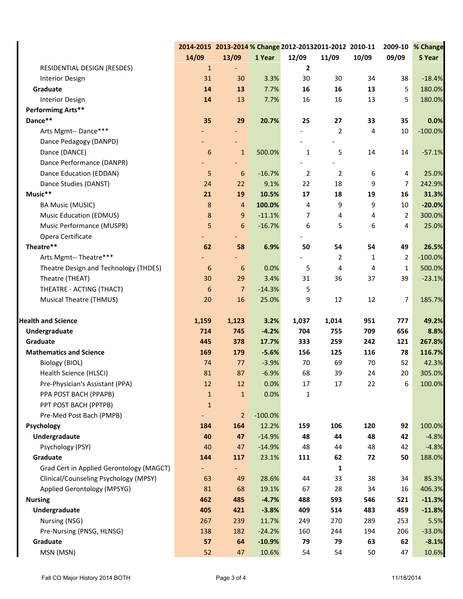|                                          |                  | 2014-2015 2013-2014 % Change 2012-20132011-2012 2010-11<br>2009-10 % Change |           |                |                |       |                |           |
|------------------------------------------|------------------|-----------------------------------------------------------------------------|-----------|----------------|----------------|-------|----------------|-----------|
|                                          | 14/09            | 13/09                                                                       | 1 Year    | 12/09          | 11/09          | 10/09 | 09/09          | 5 Year    |
| RESIDENTIAL DESIGN (RESDES)              | $\mathbf 1$      |                                                                             |           | $\mathbf{2}$   |                |       |                |           |
| <b>Interior Design</b>                   | 31               | 30                                                                          | 3.3%      | 30             | 30             | 34    | 38             | $-18.4%$  |
| Graduate                                 | 14               | 13                                                                          | 7.7%      | 16             | 16             | 13    | 5              | 180.0%    |
| <b>Interior Design</b>                   | 14               | 13                                                                          | 7.7%      | 16             | 16             | 13    | 5              | 180.0%    |
| Performimg Arts**                        |                  |                                                                             |           |                |                |       |                |           |
| Dance**                                  | 35               | 29                                                                          | 20.7%     | 25             | 27             | 33    | 35             | 0.0%      |
| Arts Mgmt-- Dance***                     |                  |                                                                             |           |                | 2              | 4     | $10\,$         | $-100.0%$ |
| Dance Pedagogy (DANPD)                   |                  |                                                                             |           |                |                |       |                |           |
| Dance (DANCE)                            | $\boldsymbol{6}$ | $\mathbf{1}$                                                                | 500.0%    | $\mathbf{1}$   | 5              | 14    | 14             | $-57.1%$  |
| Dance Performance (DANPR)                |                  |                                                                             |           |                |                |       |                |           |
| Dance Education (EDDAN)                  | 5                | 6                                                                           | $-16.7%$  | $\overline{2}$ | $\overline{2}$ | 6     | 4              | 25.0%     |
| Dance Studies (DANST)                    | 24               | 22                                                                          | 9.1%      | 22             | 18             | 9     | $\overline{7}$ | 242.9%    |
| Music**                                  | 21               | 19                                                                          | 10.5%     | 17             | 18             | 19    | 16             | 31.3%     |
| <b>BA Music (MUSIC)</b>                  | $\bf 8$          | 4                                                                           | 100.0%    | 4              | 9              | 9     | 10             | $-20.0%$  |
| <b>Music Education (EDMUS)</b>           | $\bf 8$          | $\boldsymbol{9}$                                                            | $-11.1%$  | 7              | 4              | 4     | 2              | 300.0%    |
| Music Performance (MUSPR)                | 5                | 6                                                                           | $-16.7%$  | 6              | 5              | 6     | 4              | 25.0%     |
| Opera Certificate                        |                  |                                                                             |           |                |                |       |                |           |
| Theatre**                                | 62               | 58                                                                          | 6.9%      | 50             | 54             | 54    | 49             | 26.5%     |
| Arts Mgmt-- Theatre***                   |                  |                                                                             |           |                | 2              | 1     | $\overline{2}$ | $-100.0%$ |
| Theatre Design and Technology (THDES)    | $\boldsymbol{6}$ | 6                                                                           | 0.0%      | 5              | 4              | 4     | $\mathbf{1}$   | 500.0%    |
| Theatre (THEAT)                          | 30               | 29                                                                          | 3.4%      | 31             | 36             | 37    | 39             | $-23.1%$  |
| THEATRE - ACTING (THACT)                 | 6                | $\overline{7}$                                                              | $-14.3%$  | 5              |                |       |                |           |
| <b>Musical Theatre (THMUS)</b>           | 20               | 16                                                                          | 25.0%     | 9              | 12             | 12    | $\overline{7}$ | 185.7%    |
|                                          |                  |                                                                             |           |                |                |       |                |           |
| <b>Health and Science</b>                | 1,159            | 1,123                                                                       | 3.2%      | 1,037          | 1,014          | 951   | 777            | 49.2%     |
| Undergraduate                            | 714              | 745                                                                         | $-4.2%$   | 704            | 755            | 709   | 656            | 8.8%      |
| Graduate                                 | 445              | 378                                                                         | 17.7%     | 333            | 259            | 242   | 121            | 267.8%    |
| <b>Mathematics and Science</b>           | 169              | 179                                                                         | $-5.6%$   | 156            | 125            | 116   | 78             | 116.7%    |
| Biology (BIOL)                           | 74               | 77                                                                          | $-3.9%$   | 70             | 69             | 70    | 52             | 42.3%     |
| Health Science (HLSCI)                   | 81               | 87                                                                          | $-6.9%$   | 68             | 39             | 24    | 20             | 305.0%    |
| Pre-Physician's Assistant (PPA)          | 12               | 12                                                                          | 0.0%      | 17             | 17             | 22    | 6              | 100.0%    |
| PPA POST BACH (PPAPB)                    | $\mathbf{1}$     | $1\,$                                                                       | 0.0%      | $\mathbf{1}$   |                |       |                |           |
| PPT POST BACH (PPTPB)                    | $\mathbf{1}$     |                                                                             |           |                |                |       |                |           |
| Pre-Med Post Bach (PMPB)                 | ٠                | $\overline{2}$                                                              | $-100.0%$ |                |                |       |                |           |
| Psychology                               | 184              | 164                                                                         | 12.2%     | 159            | 106            | 120   | 92             | 100.0%    |
| Undergradaute                            | 40               | 47                                                                          | $-14.9%$  | 48             | 44             | 48    | 42             | $-4.8%$   |
| Psychology (PSY)                         | 40               | 47                                                                          | $-14.9%$  | 48             | 44             | 48    | 42             | $-4.8%$   |
| Graduate                                 | 144              | 117                                                                         | 23.1%     | 111            | 62             | 72    | 50             | 188.0%    |
| Grad Cert in Applied Gerontology (MAGCT) |                  |                                                                             |           |                | 1              |       |                |           |
| Clinical/Counseling Psychology (MPSY)    | 63               | 49                                                                          | 28.6%     | 44             | 33             | 38    | 34             | 85.3%     |
| Applied Gerontology (MPSYG)              | 81               | 68                                                                          | 19.1%     | 67             | 28             | 34    | 16             | 406.3%    |
| <b>Nursing</b>                           | 462              | 485                                                                         | $-4.7%$   | 488            | 593            | 546   | 521            | $-11.3%$  |
| Undergraduate                            | 405              | 421                                                                         | $-3.8%$   | 409            | 514            | 483   | 459            | $-11.8%$  |
| Nursing (NSG)                            | 267              | 239                                                                         | 11.7%     | 249            | 270            | 289   | 253            | 5.5%      |
| Pre-Nursing (PNSG, HLNSG)                | 138              | 182                                                                         | $-24.2%$  | 160            | 244            | 194   | 206            | $-33.0%$  |
| Graduate                                 | 57               | 64                                                                          | $-10.9%$  | 79             | 79             | 63    | 62             | $-8.1%$   |
| MSN (MSN)                                | 52               | 47                                                                          | 10.6%     | 54             | 54             | 50    | 47             | 10.6%     |